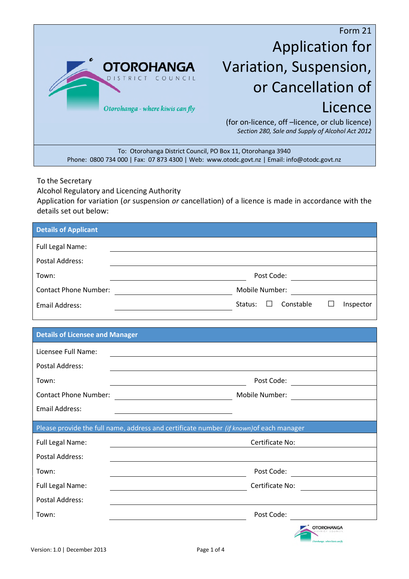

## Application for Variation, Suspension, or Cancellation of Licence

(for on-licence, off –licence, or club licence) *Section 280, Sale and Supply of Alcohol Act 2012*

To: Otorohanga District Council, PO Box 11, Otorohanga 3940 Phone: 0800 734 000 | Fax: 07 873 4300 | Web: www.otodc.govt.nz | Email: info@otodc.govt.nz

To the Secretary

Alcohol Regulatory and Licencing Authority

Application for variation (*or* suspension *or* cancellation) of a licence is made in accordance with the details set out below:

| <b>Details of Applicant</b>            |                                                                                                                                          |
|----------------------------------------|------------------------------------------------------------------------------------------------------------------------------------------|
| Full Legal Name:                       |                                                                                                                                          |
| <b>Postal Address:</b>                 |                                                                                                                                          |
| Town:                                  |                                                                                                                                          |
| <b>Contact Phone Number:</b>           | Mobile Number:                                                                                                                           |
| <b>Email Address:</b>                  | Constable<br>Status:<br>$\Box$<br>Inspector<br>$\perp$                                                                                   |
|                                        |                                                                                                                                          |
| <b>Details of Licensee and Manager</b> |                                                                                                                                          |
| Licensee Full Name:                    |                                                                                                                                          |
| <b>Postal Address:</b>                 |                                                                                                                                          |
| Town:                                  | Post Code:                                                                                                                               |
| <b>Contact Phone Number:</b>           | Mobile Number:<br><u> 1980 - Johann Barbara, martin a</u>                                                                                |
| <b>Email Address:</b>                  |                                                                                                                                          |
|                                        | Please provide the full name, address and certificate number (if known) of each manager                                                  |
| Full Legal Name:                       | Certificate No:                                                                                                                          |
| <b>Postal Address:</b>                 |                                                                                                                                          |
| Town:                                  | Post Code:<br><u> 1980 - Johann Barbara, martin da kasar Amerikaansk filosof</u>                                                         |
| Full Legal Name:                       | Certificate No:<br><u> 1980 - Johann Barbara, martin da basar a shekara 1980 - An tsara 1980 - An tsara 1980 - An tsara 1980 - An ts</u> |
| <b>Postal Address:</b>                 |                                                                                                                                          |
| Town:                                  | Post Code: The Contract of the Code:                                                                                                     |
|                                        | <b>OTOROHANGA</b><br>on carbon limit can fit                                                                                             |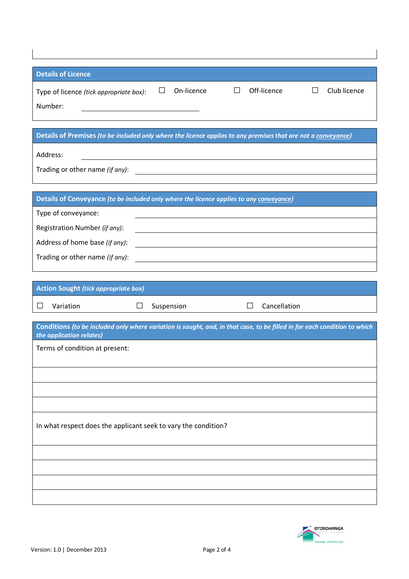| <b>Details of Licence</b>                                                                                                         |
|-----------------------------------------------------------------------------------------------------------------------------------|
| On-licence<br>Off-licence<br>Club licence<br>Ш<br>Ш<br>Ш<br>Type of licence (tick appropriate box):                               |
| Number:                                                                                                                           |
|                                                                                                                                   |
| Details of Premises (to be included only where the licence applies to any premises that are not a conveyance)                     |
| Address:<br><u> 1989 - Johann Harry Harry Harry Harry Harry Harry Harry Harry Harry Harry Harry Harry Harry Harry Harry Harry</u> |
| Trading or other name (if any):<br><u> 1989 - Andrea State Barbara, amerikan per</u>                                              |
|                                                                                                                                   |
| Details of Conveyance (to be included only where the licence applies to any conveyance)                                           |
| Type of conveyance:                                                                                                               |
| Registration Number (if any):                                                                                                     |
| Address of home base (if any):<br><u> 1980 - Andrea Andrew Maria (h. 1980).</u>                                                   |
| Trading or other name (if any):                                                                                                   |
|                                                                                                                                   |
|                                                                                                                                   |
| <b>Action Sought (tick appropriate box)</b>                                                                                       |
| Cancellation<br>Variation<br>$\Box$<br>Suspension<br>П<br>$\perp$                                                                 |
| Conditions (to be included only where variation is sought, and, in that case, to be filled in for each condition to which         |
| the application relates)<br>Terms of condition at present:                                                                        |
|                                                                                                                                   |
|                                                                                                                                   |
|                                                                                                                                   |
|                                                                                                                                   |
| In what respect does the applicant seek to vary the condition?                                                                    |
|                                                                                                                                   |
|                                                                                                                                   |
|                                                                                                                                   |
|                                                                                                                                   |

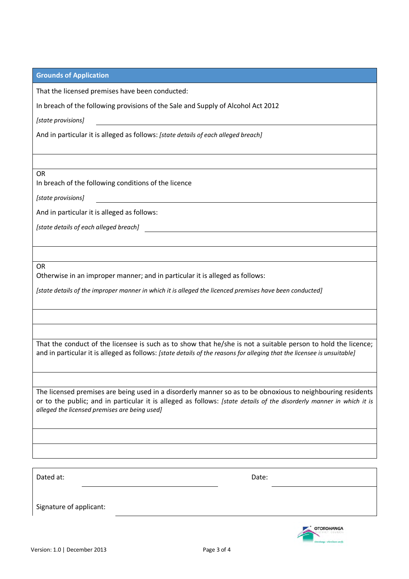| <b>Grounds of Application</b>                                                                                                                                                                                                                                                        |  |
|--------------------------------------------------------------------------------------------------------------------------------------------------------------------------------------------------------------------------------------------------------------------------------------|--|
| That the licensed premises have been conducted:                                                                                                                                                                                                                                      |  |
| In breach of the following provisions of the Sale and Supply of Alcohol Act 2012                                                                                                                                                                                                     |  |
| [state provisions]                                                                                                                                                                                                                                                                   |  |
| And in particular it is alleged as follows: [state details of each alleged breach]                                                                                                                                                                                                   |  |
|                                                                                                                                                                                                                                                                                      |  |
|                                                                                                                                                                                                                                                                                      |  |
| <b>OR</b><br>In breach of the following conditions of the licence                                                                                                                                                                                                                    |  |
| [state provisions]                                                                                                                                                                                                                                                                   |  |
| And in particular it is alleged as follows:                                                                                                                                                                                                                                          |  |
| [state details of each alleged breach] states are sensored as a state of the state of each state of $\sim$                                                                                                                                                                           |  |
|                                                                                                                                                                                                                                                                                      |  |
|                                                                                                                                                                                                                                                                                      |  |
| <b>OR</b><br>Otherwise in an improper manner; and in particular it is alleged as follows:                                                                                                                                                                                            |  |
| [state details of the improper manner in which it is alleged the licenced premises have been conducted]                                                                                                                                                                              |  |
|                                                                                                                                                                                                                                                                                      |  |
|                                                                                                                                                                                                                                                                                      |  |
|                                                                                                                                                                                                                                                                                      |  |
| That the conduct of the licensee is such as to show that he/she is not a suitable person to hold the licence;<br>and in particular it is alleged as follows: [state details of the reasons for alleging that the licensee is unsuitable]                                             |  |
|                                                                                                                                                                                                                                                                                      |  |
| The licensed premises are being used in a disorderly manner so as to be obnoxious to neighbouring residents<br>or to the public; and in particular it is alleged as follows: [state details of the disorderly manner in which it is<br>alleged the licensed premises are being used] |  |
|                                                                                                                                                                                                                                                                                      |  |
|                                                                                                                                                                                                                                                                                      |  |
|                                                                                                                                                                                                                                                                                      |  |
| Dated at:<br>Date:                                                                                                                                                                                                                                                                   |  |
|                                                                                                                                                                                                                                                                                      |  |
| Signature of applicant:                                                                                                                                                                                                                                                              |  |

OTOROHANGA